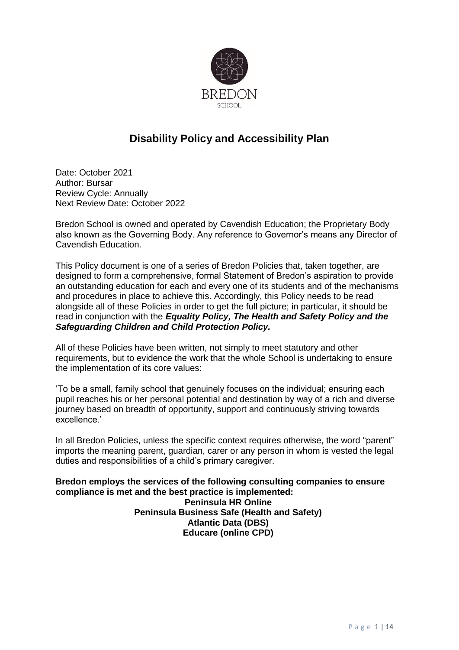

# **Disability Policy and Accessibility Plan**

Date: October 2021 Author: Bursar Review Cycle: Annually Next Review Date: October 2022

Bredon School is owned and operated by Cavendish Education; the Proprietary Body also known as the Governing Body. Any reference to Governor's means any Director of Cavendish Education.

This Policy document is one of a series of Bredon Policies that, taken together, are designed to form a comprehensive, formal Statement of Bredon's aspiration to provide an outstanding education for each and every one of its students and of the mechanisms and procedures in place to achieve this. Accordingly, this Policy needs to be read alongside all of these Policies in order to get the full picture; in particular, it should be read in conjunction with the *Equality Policy, The Health and Safety Policy and the Safeguarding Children and Child Protection Policy.*

All of these Policies have been written, not simply to meet statutory and other requirements, but to evidence the work that the whole School is undertaking to ensure the implementation of its core values:

'To be a small, family school that genuinely focuses on the individual; ensuring each pupil reaches his or her personal potential and destination by way of a rich and diverse journey based on breadth of opportunity, support and continuously striving towards excellence.'

In all Bredon Policies, unless the specific context requires otherwise, the word "parent" imports the meaning parent, guardian, carer or any person in whom is vested the legal duties and responsibilities of a child's primary caregiver.

**Bredon employs the services of the following consulting companies to ensure compliance is met and the best practice is implemented: Peninsula HR Online Peninsula Business Safe (Health and Safety) Atlantic Data (DBS) Educare (online CPD)**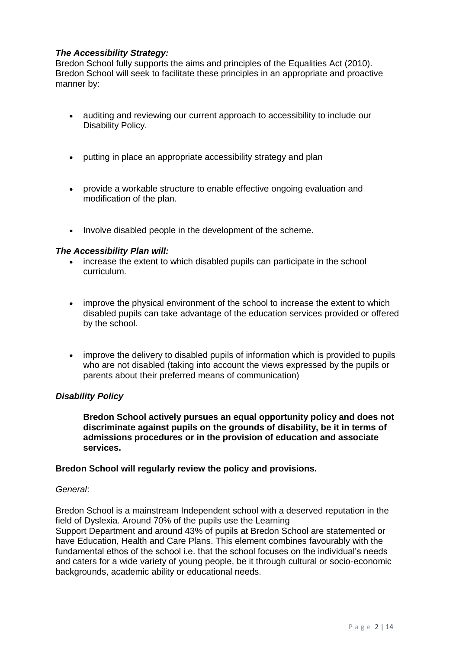## *The Accessibility Strategy:*

Bredon School fully supports the aims and principles of the Equalities Act (2010). Bredon School will seek to facilitate these principles in an appropriate and proactive manner by:

- auditing and reviewing our current approach to accessibility to include our Disability Policy.
- putting in place an appropriate accessibility strategy and plan
- provide a workable structure to enable effective ongoing evaluation and modification of the plan.
- Involve disabled people in the development of the scheme.

#### *The Accessibility Plan will:*

- increase the extent to which disabled pupils can participate in the school curriculum.
- improve the physical environment of the school to increase the extent to which disabled pupils can take advantage of the education services provided or offered by the school.
- improve the delivery to disabled pupils of information which is provided to pupils who are not disabled (taking into account the views expressed by the pupils or parents about their preferred means of communication)

#### *Disability Policy*

**Bredon School actively pursues an equal opportunity policy and does not discriminate against pupils on the grounds of disability, be it in terms of admissions procedures or in the provision of education and associate services.**

#### **Bredon School will regularly review the policy and provisions.**

#### *General*:

Bredon School is a mainstream Independent school with a deserved reputation in the field of Dyslexia. Around 70% of the pupils use the Learning Support Department and around 43% of pupils at Bredon School are statemented or have Education, Health and Care Plans. This element combines favourably with the fundamental ethos of the school i.e. that the school focuses on the individual's needs and caters for a wide variety of young people, be it through cultural or socio-economic backgrounds, academic ability or educational needs.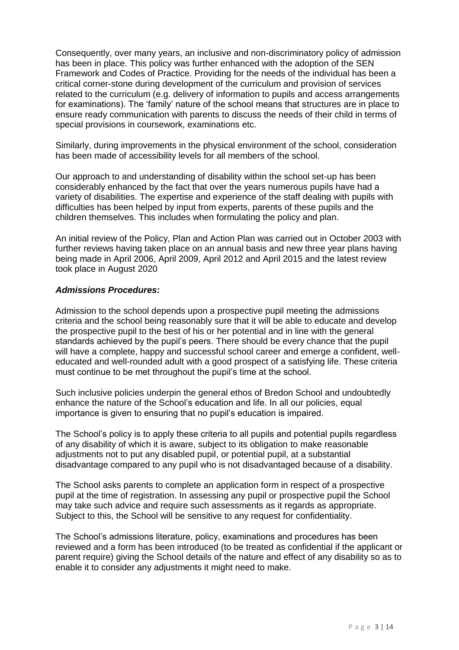Consequently, over many years, an inclusive and non-discriminatory policy of admission has been in place. This policy was further enhanced with the adoption of the SEN Framework and Codes of Practice. Providing for the needs of the individual has been a critical corner-stone during development of the curriculum and provision of services related to the curriculum (e.g. delivery of information to pupils and access arrangements for examinations). The 'family' nature of the school means that structures are in place to ensure ready communication with parents to discuss the needs of their child in terms of special provisions in coursework, examinations etc.

Similarly, during improvements in the physical environment of the school, consideration has been made of accessibility levels for all members of the school.

Our approach to and understanding of disability within the school set-up has been considerably enhanced by the fact that over the years numerous pupils have had a variety of disabilities. The expertise and experience of the staff dealing with pupils with difficulties has been helped by input from experts, parents of these pupils and the children themselves. This includes when formulating the policy and plan.

An initial review of the Policy, Plan and Action Plan was carried out in October 2003 with further reviews having taken place on an annual basis and new three year plans having being made in April 2006, April 2009, April 2012 and April 2015 and the latest review took place in August 2020

#### *Admissions Procedures:*

Admission to the school depends upon a prospective pupil meeting the admissions criteria and the school being reasonably sure that it will be able to educate and develop the prospective pupil to the best of his or her potential and in line with the general standards achieved by the pupil's peers. There should be every chance that the pupil will have a complete, happy and successful school career and emerge a confident, welleducated and well-rounded adult with a good prospect of a satisfying life. These criteria must continue to be met throughout the pupil's time at the school.

Such inclusive policies underpin the general ethos of Bredon School and undoubtedly enhance the nature of the School's education and life. In all our policies, equal importance is given to ensuring that no pupil's education is impaired.

The School's policy is to apply these criteria to all pupils and potential pupils regardless of any disability of which it is aware, subject to its obligation to make reasonable adjustments not to put any disabled pupil, or potential pupil, at a substantial disadvantage compared to any pupil who is not disadvantaged because of a disability.

The School asks parents to complete an application form in respect of a prospective pupil at the time of registration. In assessing any pupil or prospective pupil the School may take such advice and require such assessments as it regards as appropriate. Subject to this, the School will be sensitive to any request for confidentiality.

The School's admissions literature, policy, examinations and procedures has been reviewed and a form has been introduced (to be treated as confidential if the applicant or parent require) giving the School details of the nature and effect of any disability so as to enable it to consider any adjustments it might need to make.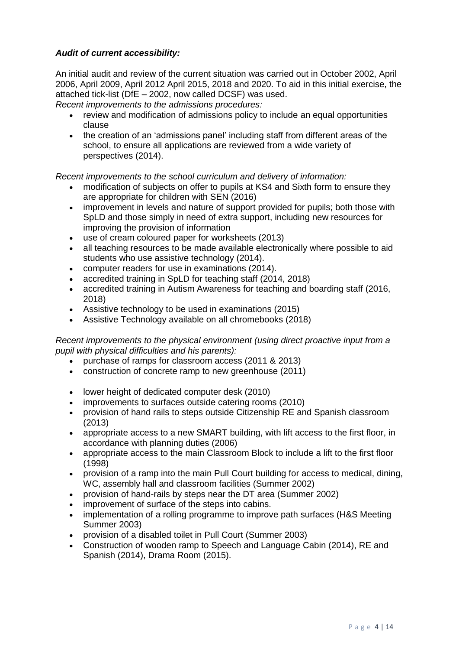## *Audit of current accessibility:*

An initial audit and review of the current situation was carried out in October 2002, April 2006, April 2009, April 2012 April 2015, 2018 and 2020. To aid in this initial exercise, the attached tick-list (DfE – 2002, now called DCSF) was used.

*Recent improvements to the admissions procedures:*

- review and modification of admissions policy to include an equal opportunities clause
- the creation of an 'admissions panel' including staff from different areas of the school, to ensure all applications are reviewed from a wide variety of perspectives (2014).

*Recent improvements to the school curriculum and delivery of information:*

- modification of subjects on offer to pupils at KS4 and Sixth form to ensure they are appropriate for children with SEN (2016)
- improvement in levels and nature of support provided for pupils; both those with SpLD and those simply in need of extra support, including new resources for improving the provision of information
- use of cream coloured paper for worksheets (2013)
- all teaching resources to be made available electronically where possible to aid students who use assistive technology (2014).
- computer readers for use in examinations (2014).
- accredited training in SpLD for teaching staff (2014, 2018)
- accredited training in Autism Awareness for teaching and boarding staff (2016, 2018)
- Assistive technology to be used in examinations (2015)
- Assistive Technology available on all chromebooks (2018)

### *Recent improvements to the physical environment (using direct proactive input from a pupil with physical difficulties and his parents):*

- purchase of ramps for classroom access (2011 & 2013)
- construction of concrete ramp to new greenhouse (2011)
- lower height of dedicated computer desk (2010)
- improvements to surfaces outside catering rooms (2010)
- provision of hand rails to steps outside Citizenship RE and Spanish classroom (2013)
- appropriate access to a new SMART building, with lift access to the first floor, in accordance with planning duties (2006)
- appropriate access to the main Classroom Block to include a lift to the first floor (1998)
- provision of a ramp into the main Pull Court building for access to medical, dining, WC, assembly hall and classroom facilities (Summer 2002)
- provision of hand-rails by steps near the DT area (Summer 2002)
- improvement of surface of the steps into cabins.
- implementation of a rolling programme to improve path surfaces (H&S Meeting Summer 2003)
- provision of a disabled toilet in Pull Court (Summer 2003)
- Construction of wooden ramp to Speech and Language Cabin (2014), RE and Spanish (2014), Drama Room (2015).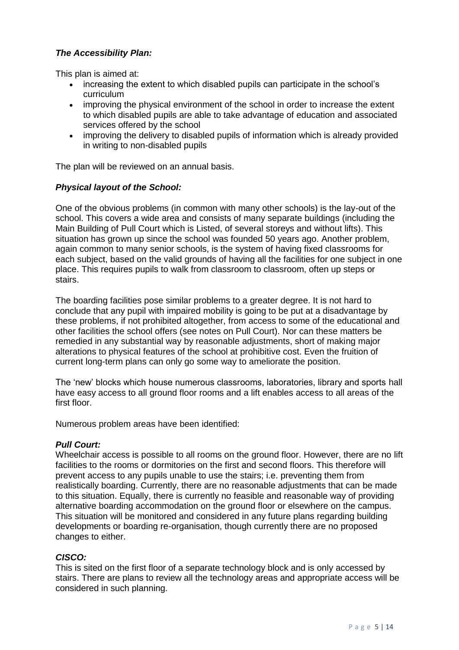## *The Accessibility Plan:*

This plan is aimed at:

- increasing the extent to which disabled pupils can participate in the school's curriculum
- improving the physical environment of the school in order to increase the extent to which disabled pupils are able to take advantage of education and associated services offered by the school
- improving the delivery to disabled pupils of information which is already provided in writing to non-disabled pupils

The plan will be reviewed on an annual basis.

## *Physical layout of the School:*

One of the obvious problems (in common with many other schools) is the lay-out of the school. This covers a wide area and consists of many separate buildings (including the Main Building of Pull Court which is Listed, of several storeys and without lifts). This situation has grown up since the school was founded 50 years ago. Another problem, again common to many senior schools, is the system of having fixed classrooms for each subject, based on the valid grounds of having all the facilities for one subject in one place. This requires pupils to walk from classroom to classroom, often up steps or stairs.

The boarding facilities pose similar problems to a greater degree. It is not hard to conclude that any pupil with impaired mobility is going to be put at a disadvantage by these problems, if not prohibited altogether, from access to some of the educational and other facilities the school offers (see notes on Pull Court). Nor can these matters be remedied in any substantial way by reasonable adjustments, short of making major alterations to physical features of the school at prohibitive cost. Even the fruition of current long-term plans can only go some way to ameliorate the position.

The 'new' blocks which house numerous classrooms, laboratories, library and sports hall have easy access to all ground floor rooms and a lift enables access to all areas of the first floor.

Numerous problem areas have been identified:

#### *Pull Court:*

Wheelchair access is possible to all rooms on the ground floor. However, there are no lift facilities to the rooms or dormitories on the first and second floors. This therefore will prevent access to any pupils unable to use the stairs; i.e. preventing them from realistically boarding. Currently, there are no reasonable adjustments that can be made to this situation. Equally, there is currently no feasible and reasonable way of providing alternative boarding accommodation on the ground floor or elsewhere on the campus. This situation will be monitored and considered in any future plans regarding building developments or boarding re-organisation, though currently there are no proposed changes to either.

#### *CISCO:*

This is sited on the first floor of a separate technology block and is only accessed by stairs. There are plans to review all the technology areas and appropriate access will be considered in such planning.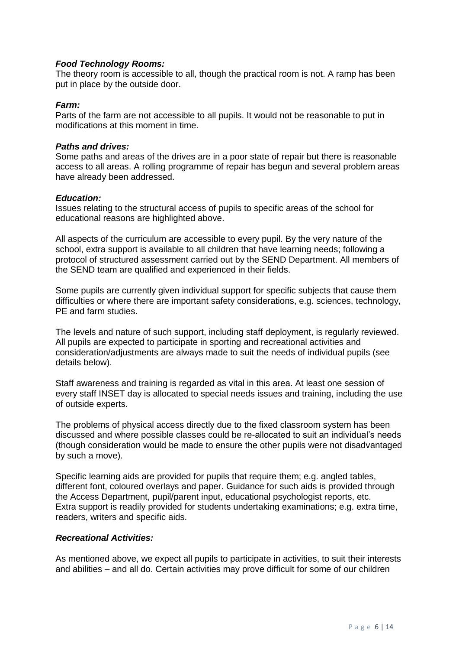#### *Food Technology Rooms:*

The theory room is accessible to all, though the practical room is not. A ramp has been put in place by the outside door.

#### *Farm:*

Parts of the farm are not accessible to all pupils. It would not be reasonable to put in modifications at this moment in time.

#### *Paths and drives:*

Some paths and areas of the drives are in a poor state of repair but there is reasonable access to all areas. A rolling programme of repair has begun and several problem areas have already been addressed.

#### *Education:*

Issues relating to the structural access of pupils to specific areas of the school for educational reasons are highlighted above.

All aspects of the curriculum are accessible to every pupil. By the very nature of the school, extra support is available to all children that have learning needs; following a protocol of structured assessment carried out by the SEND Department. All members of the SEND team are qualified and experienced in their fields.

Some pupils are currently given individual support for specific subjects that cause them difficulties or where there are important safety considerations, e.g. sciences, technology, PE and farm studies.

The levels and nature of such support, including staff deployment, is regularly reviewed. All pupils are expected to participate in sporting and recreational activities and consideration/adjustments are always made to suit the needs of individual pupils (see details below).

Staff awareness and training is regarded as vital in this area. At least one session of every staff INSET day is allocated to special needs issues and training, including the use of outside experts.

The problems of physical access directly due to the fixed classroom system has been discussed and where possible classes could be re-allocated to suit an individual's needs (though consideration would be made to ensure the other pupils were not disadvantaged by such a move).

Specific learning aids are provided for pupils that require them; e.g. angled tables, different font, coloured overlays and paper. Guidance for such aids is provided through the Access Department, pupil/parent input, educational psychologist reports, etc. Extra support is readily provided for students undertaking examinations; e.g. extra time, readers, writers and specific aids.

#### *Recreational Activities:*

As mentioned above, we expect all pupils to participate in activities, to suit their interests and abilities – and all do. Certain activities may prove difficult for some of our children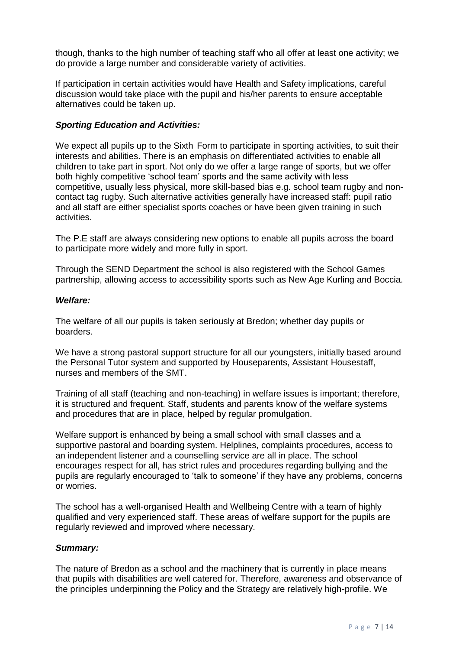though, thanks to the high number of teaching staff who all offer at least one activity; we do provide a large number and considerable variety of activities.

If participation in certain activities would have Health and Safety implications, careful discussion would take place with the pupil and his/her parents to ensure acceptable alternatives could be taken up.

#### *Sporting Education and Activities:*

We expect all pupils up to the Sixth Form to participate in sporting activities, to suit their interests and abilities. There is an emphasis on differentiated activities to enable all children to take part in sport. Not only do we offer a large range of sports, but we offer both highly competitive 'school team' sports and the same activity with less competitive, usually less physical, more skill-based bias e.g. school team rugby and noncontact tag rugby. Such alternative activities generally have increased staff: pupil ratio and all staff are either specialist sports coaches or have been given training in such activities.

The P.E staff are always considering new options to enable all pupils across the board to participate more widely and more fully in sport.

Through the SEND Department the school is also registered with the School Games partnership, allowing access to accessibility sports such as New Age Kurling and Boccia.

#### *Welfare:*

The welfare of all our pupils is taken seriously at Bredon; whether day pupils or boarders.

We have a strong pastoral support structure for all our youngsters, initially based around the Personal Tutor system and supported by Houseparents, Assistant Housestaff, nurses and members of the SMT.

Training of all staff (teaching and non-teaching) in welfare issues is important; therefore, it is structured and frequent. Staff, students and parents know of the welfare systems and procedures that are in place, helped by regular promulgation.

Welfare support is enhanced by being a small school with small classes and a supportive pastoral and boarding system. Helplines, complaints procedures, access to an independent listener and a counselling service are all in place. The school encourages respect for all, has strict rules and procedures regarding bullying and the pupils are regularly encouraged to 'talk to someone' if they have any problems, concerns or worries.

The school has a well-organised Health and Wellbeing Centre with a team of highly qualified and very experienced staff. These areas of welfare support for the pupils are regularly reviewed and improved where necessary.

#### *Summary:*

The nature of Bredon as a school and the machinery that is currently in place means that pupils with disabilities are well catered for. Therefore, awareness and observance of the principles underpinning the Policy and the Strategy are relatively high-profile. We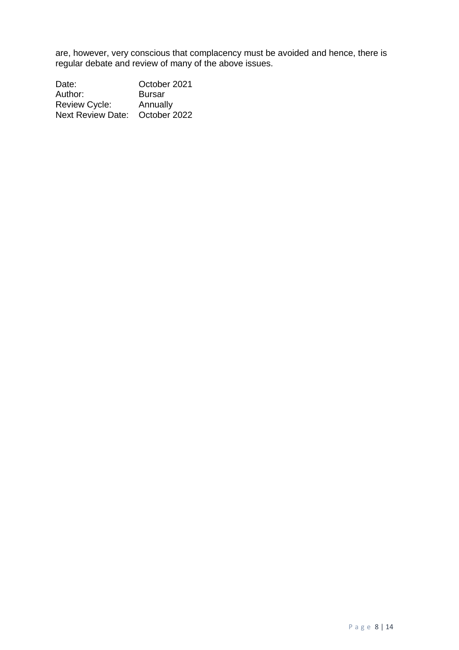are, however, very conscious that complacency must be avoided and hence, there is regular debate and review of many of the above issues.

Date: **October 2021** Author: Bursar Review Cycle: Annually Next Review Date: October 2022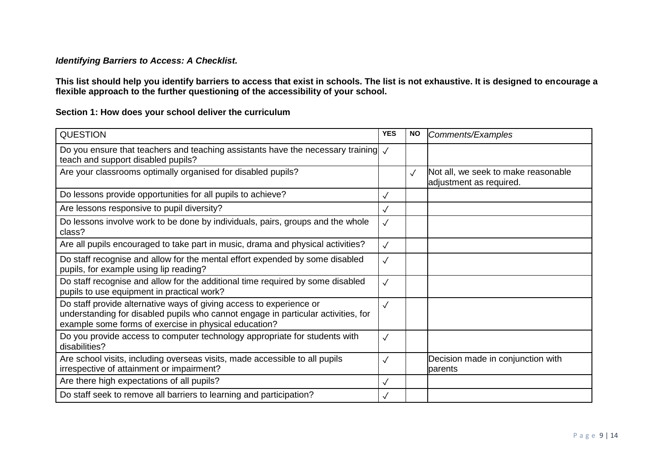## *Identifying Barriers to Access: A Checklist.*

**This list should help you identify barriers to access that exist in schools. The list is not exhaustive. It is designed to encourage a flexible approach to the further questioning of the accessibility of your school.**

## **Section 1: How does your school deliver the curriculum**

| <b>QUESTION</b>                                                                                                                                                                                                   | <b>YES</b>   | <b>NO</b>    | Comments/Examples                                              |
|-------------------------------------------------------------------------------------------------------------------------------------------------------------------------------------------------------------------|--------------|--------------|----------------------------------------------------------------|
| Do you ensure that teachers and teaching assistants have the necessary training $\sqrt{ }$<br>teach and support disabled pupils?                                                                                  |              |              |                                                                |
| Are your classrooms optimally organised for disabled pupils?                                                                                                                                                      |              | $\checkmark$ | Not all, we seek to make reasonable<br>adjustment as required. |
| Do lessons provide opportunities for all pupils to achieve?                                                                                                                                                       | $\checkmark$ |              |                                                                |
| Are lessons responsive to pupil diversity?                                                                                                                                                                        | $\checkmark$ |              |                                                                |
| Do lessons involve work to be done by individuals, pairs, groups and the whole<br>class?                                                                                                                          | $\checkmark$ |              |                                                                |
| Are all pupils encouraged to take part in music, drama and physical activities?                                                                                                                                   | $\checkmark$ |              |                                                                |
| Do staff recognise and allow for the mental effort expended by some disabled<br>pupils, for example using lip reading?                                                                                            | $\checkmark$ |              |                                                                |
| Do staff recognise and allow for the additional time required by some disabled<br>pupils to use equipment in practical work?                                                                                      | $\checkmark$ |              |                                                                |
| Do staff provide alternative ways of giving access to experience or<br>understanding for disabled pupils who cannot engage in particular activities, for<br>example some forms of exercise in physical education? | $\checkmark$ |              |                                                                |
| Do you provide access to computer technology appropriate for students with<br>disabilities?                                                                                                                       | $\checkmark$ |              |                                                                |
| Are school visits, including overseas visits, made accessible to all pupils<br>irrespective of attainment or impairment?                                                                                          | $\checkmark$ |              | Decision made in conjunction with<br>parents                   |
| Are there high expectations of all pupils?                                                                                                                                                                        | $\checkmark$ |              |                                                                |
| Do staff seek to remove all barriers to learning and participation?                                                                                                                                               | $\checkmark$ |              |                                                                |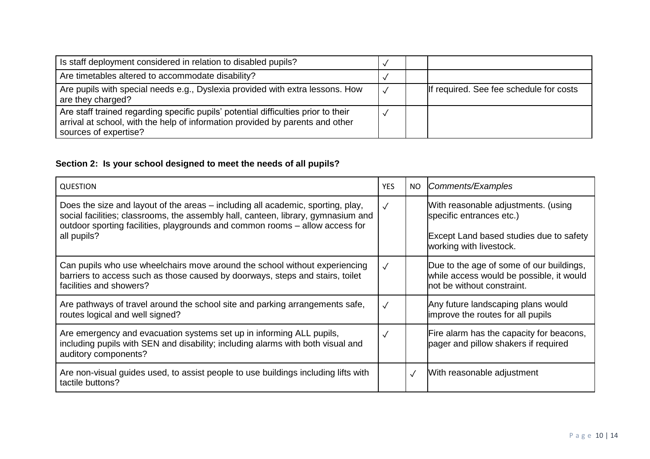| Is staff deployment considered in relation to disabled pupils?                                                                                                                               |  |                                         |
|----------------------------------------------------------------------------------------------------------------------------------------------------------------------------------------------|--|-----------------------------------------|
| Are timetables altered to accommodate disability?                                                                                                                                            |  |                                         |
| Are pupils with special needs e.g., Dyslexia provided with extra lessons. How<br>are they charged?                                                                                           |  | If required. See fee schedule for costs |
| Are staff trained regarding specific pupils' potential difficulties prior to their<br>arrival at school, with the help of information provided by parents and other<br>sources of expertise? |  |                                         |

## **Section 2: Is your school designed to meet the needs of all pupils?**

| <b>QUESTION</b>                                                                                                                                                                                                                                                     | <b>YES</b>   | NO.        | Comments/Examples                                                                                                                            |
|---------------------------------------------------------------------------------------------------------------------------------------------------------------------------------------------------------------------------------------------------------------------|--------------|------------|----------------------------------------------------------------------------------------------------------------------------------------------|
| Does the size and layout of the areas – including all academic, sporting, play,<br>social facilities; classrooms, the assembly hall, canteen, library, gymnasium and<br>outdoor sporting facilities, playgrounds and common rooms – allow access for<br>all pupils? | $\sqrt{ }$   |            | With reasonable adjustments. (using<br>specific entrances etc.)<br><b>Except Land based studies due to safety</b><br>working with livestock. |
| Can pupils who use wheelchairs move around the school without experiencing<br>barriers to access such as those caused by doorways, steps and stairs, toilet<br>facilities and showers?                                                                              | $\sqrt{}$    |            | Due to the age of some of our buildings,<br>while access would be possible, it would<br>not be without constraint.                           |
| Are pathways of travel around the school site and parking arrangements safe,<br>routes logical and well signed?                                                                                                                                                     | $\checkmark$ |            | Any future landscaping plans would<br>improve the routes for all pupils                                                                      |
| Are emergency and evacuation systems set up in informing ALL pupils,<br>including pupils with SEN and disability; including alarms with both visual and<br>auditory components?                                                                                     | $\sqrt{}$    |            | Fire alarm has the capacity for beacons,<br>pager and pillow shakers if required                                                             |
| Are non-visual guides used, to assist people to use buildings including lifts with<br>tactile buttons?                                                                                                                                                              |              | $\sqrt{ }$ | With reasonable adjustment                                                                                                                   |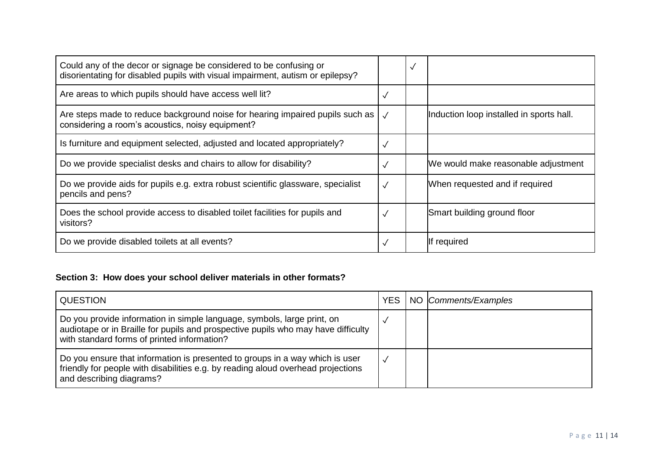| Could any of the decor or signage be considered to be confusing or<br>disorientating for disabled pupils with visual impairment, autism or epilepsy? |              | $\checkmark$ |                                          |
|------------------------------------------------------------------------------------------------------------------------------------------------------|--------------|--------------|------------------------------------------|
| Are areas to which pupils should have access well lit?                                                                                               | $\checkmark$ |              |                                          |
| Are steps made to reduce background noise for hearing impaired pupils such as  <br>considering a room's acoustics, noisy equipment?                  |              |              | Induction loop installed in sports hall. |
| Is furniture and equipment selected, adjusted and located appropriately?                                                                             | $\checkmark$ |              |                                          |
| Do we provide specialist desks and chairs to allow for disability?                                                                                   | $\checkmark$ |              | We would make reasonable adjustment      |
| Do we provide aids for pupils e.g. extra robust scientific glassware, specialist<br>pencils and pens?                                                | $\sqrt{}$    |              | When requested and if required           |
| Does the school provide access to disabled toilet facilities for pupils and<br>visitors?                                                             |              |              | Smart building ground floor              |
| Do we provide disabled toilets at all events?                                                                                                        |              |              | If required                              |

## **Section 3: How does your school deliver materials in other formats?**

| <b>QUESTION</b>                                                                                                                                                                                             | <b>YES</b> | NO Comments/Examples |
|-------------------------------------------------------------------------------------------------------------------------------------------------------------------------------------------------------------|------------|----------------------|
| Do you provide information in simple language, symbols, large print, on<br>audiotape or in Braille for pupils and prospective pupils who may have difficulty<br>with standard forms of printed information? |            |                      |
| Do you ensure that information is presented to groups in a way which is user<br>friendly for people with disabilities e.g. by reading aloud overhead projections<br>and describing diagrams?                |            |                      |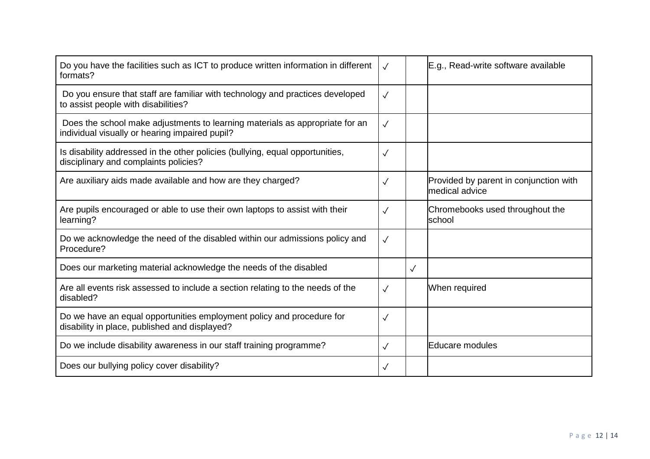| Do you have the facilities such as ICT to produce written information in different<br>formats?                                 | $\sqrt{ }$   |              | E.g., Read-write software available                       |
|--------------------------------------------------------------------------------------------------------------------------------|--------------|--------------|-----------------------------------------------------------|
| Do you ensure that staff are familiar with technology and practices developed<br>to assist people with disabilities?           | $\sqrt{ }$   |              |                                                           |
| Does the school make adjustments to learning materials as appropriate for an<br>individual visually or hearing impaired pupil? | $\sqrt{}$    |              |                                                           |
| Is disability addressed in the other policies (bullying, equal opportunities,<br>disciplinary and complaints policies?         | $\checkmark$ |              |                                                           |
| Are auxiliary aids made available and how are they charged?                                                                    | $\sqrt{}$    |              | Provided by parent in conjunction with<br>Imedical advice |
| Are pupils encouraged or able to use their own laptops to assist with their<br>learning?                                       | $\sqrt{ }$   |              | Chromebooks used throughout the<br>school                 |
| Do we acknowledge the need of the disabled within our admissions policy and<br>Procedure?                                      | $\sqrt{ }$   |              |                                                           |
| Does our marketing material acknowledge the needs of the disabled                                                              |              | $\checkmark$ |                                                           |
| Are all events risk assessed to include a section relating to the needs of the<br>disabled?                                    | $\sqrt{ }$   |              | When required                                             |
| Do we have an equal opportunities employment policy and procedure for<br>disability in place, published and displayed?         | $\sqrt{ }$   |              |                                                           |
| Do we include disability awareness in our staff training programme?                                                            | $\checkmark$ |              | <b>IEducare modules</b>                                   |
| Does our bullying policy cover disability?                                                                                     | $\sqrt{}$    |              |                                                           |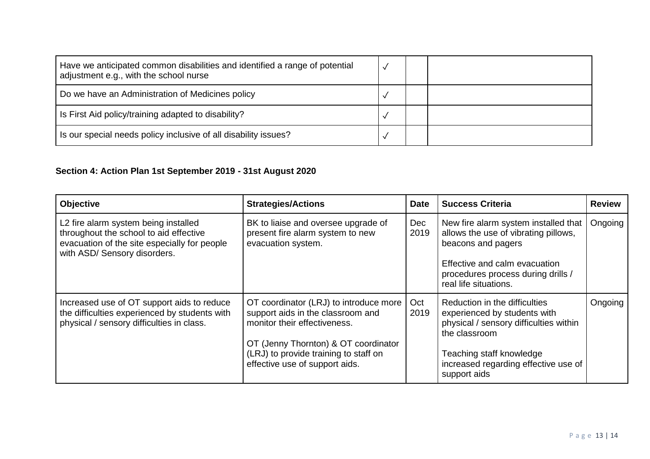| Have we anticipated common disabilities and identified a range of potential<br>adjustment e.g., with the school nurse |  |  |
|-----------------------------------------------------------------------------------------------------------------------|--|--|
| Do we have an Administration of Medicines policy                                                                      |  |  |
| Is First Aid policy/training adapted to disability?                                                                   |  |  |
| Is our special needs policy inclusive of all disability issues?                                                       |  |  |

# **Section 4: Action Plan 1st September 2019 - 31st August 2020**

| <b>Objective</b>                                                                                                                                               | <b>Strategies/Actions</b>                                                                                                                                                                                                      | <b>Date</b> | <b>Success Criteria</b>                                                                                                                                                                                      | <b>Review</b> |
|----------------------------------------------------------------------------------------------------------------------------------------------------------------|--------------------------------------------------------------------------------------------------------------------------------------------------------------------------------------------------------------------------------|-------------|--------------------------------------------------------------------------------------------------------------------------------------------------------------------------------------------------------------|---------------|
| L2 fire alarm system being installed<br>throughout the school to aid effective<br>evacuation of the site especially for people<br>with ASD/ Sensory disorders. | BK to liaise and oversee upgrade of<br>present fire alarm system to new<br>evacuation system.                                                                                                                                  | Dec<br>2019 | New fire alarm system installed that<br>allows the use of vibrating pillows,<br>beacons and pagers<br>Effective and calm evacuation<br>procedures process during drills /<br>real life situations.           | Ongoing       |
| Increased use of OT support aids to reduce<br>the difficulties experienced by students with<br>physical / sensory difficulties in class.                       | OT coordinator (LRJ) to introduce more<br>support aids in the classroom and<br>monitor their effectiveness.<br>OT (Jenny Thornton) & OT coordinator<br>(LRJ) to provide training to staff on<br>effective use of support aids. | Oct<br>2019 | Reduction in the difficulties<br>experienced by students with<br>physical / sensory difficulties within<br>the classroom<br>Teaching staff knowledge<br>increased regarding effective use of<br>support aids | Ongoing       |